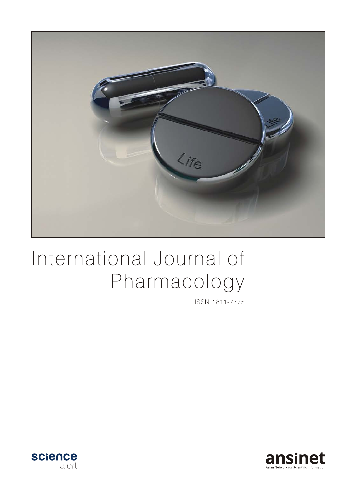

# International Journal of Pharmacology

ISSN 1811-7775



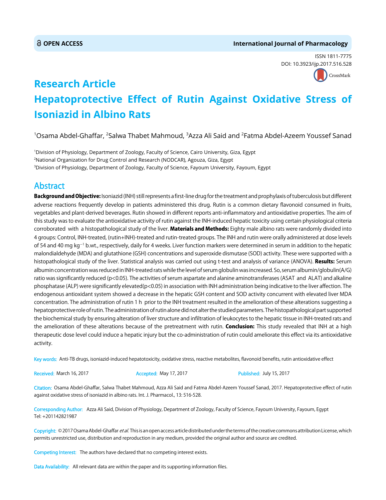#### **OPEN ACCESS International Journal of Pharmacology**

ISSN 1811-7775 DOI: 10.3923/ijp.2017.516.528



## **Research Article Hepatoprotective Effect of Rutin Against Oxidative Stress of Isoniazid in Albino Rats**

 $^{\rm 1}$ Osama Abdel-Ghaffar,  $^{\rm 2}$ Salwa Thabet Mahmoud,  $^{\rm 3}$ Azza Ali Said and  $^{\rm 2}$ Fatma Abdel-Azeem Youssef Sanad

1 Division of Physiology, Department of Zoology, Faculty of Science, Cairo University, Giza, Egypt 2 National Organization for Drug Control and Research (NODCAR), Agouza, Giza, Egypt 3 Division of Physiology, Department of Zoology, Faculty of Science, Fayoum University, Fayoum, Egypt

### Abstract

**Background and Objective:** Isoniazid (INH) still represents a first-line drug for the treatment and prophylaxis of tuberculosis but different adverse reactions frequently develop in patients administered this drug. Rutin is a common dietary flavonoid consumed in fruits, vegetables and plant-derived beverages. Rutin showed in different reports anti-inflammatory and antioxidative properties. The aim of this study was to evaluate the antioxidative activity of rutin against the INH-induced hepatic toxicity using certain physiological criteria corroborated with a histopathological study of the liver. Materials and Methods: Eighty male albino rats were randomly divided into 4 groups: Control, INH-treated, (rutin+INH)-treated and rutin-treated groups. The INH and rutin were orally administered at dose levels of 54 and 40 mg kg<sup>-1</sup> b.wt., respectively, daily for 4 weeks. Liver function markers were determined in serum in addition to the hepatic malondialdehyde (MDA) and glutathione (GSH) concentrations and superoxide dismutase (SOD) activity. These were supported with a histopathological study of the liver. Statistical analysis was carried out using t-test and analysis of variance (ANOVA). Results: Serum albumin concentration was reduced in INH-treated rats while the level of serum globulin was increased. So, serum albumin/globulin(A/G) ratio was significantly reduced (p<0.05). The activities of serum aspartate and alanine aminotransferases (ASAT and ALAT) and alkaline phosphatase (ALP) were significantly elevated(p<0.05) in association with INH administration being indicative to the liver affection. The endogenous antioxidant system showed a decrease in the hepatic GSH content and SOD activity concurrent with elevated liver MDA concentration. The administration of rutin 1 h prior to the INH treatment resulted in the amelioration of these alterations suggesting a hepatoprotective role of rutin. The administration of rutin alone did not alter the studied parameters. The histopathological part supported the biochemical study by ensuring alteration of liver structure and infiltration of leukocytes to the hepatic tissue in INH-treated rats and the amelioration of these alterations because of the pretreatment with rutin. Conclusion: This study revealed that INH at a high therapeutic dose level could induce a hepatic injury but the co-administration of rutin could ameliorate this effect via its antioxidative activity.

Key words: Anti-TB drugs, isoniazid-induced hepatotoxicity, oxidative stress, reactive metabolites, flavonoid benefits, rutin antioxidative effect

Received: March 16, 2017 **Accepted: May 17, 2017** Published: July 15, 2017

Citation: Osama Abdel-Ghaffar, Salwa Thabet Mahmoud, Azza Ali Said and Fatma Abdel-Azeem Youssef Sanad, 2017. Hepatoprotective effect of rutin against oxidative stress of isoniazid in albino rats. Int. J. Pharmacol., 13: 516-528.

Corresponding Author: Azza Ali Said, Division of Physiology, Department of Zoology, Faculty of Science, Fayoum University, Fayoum, Egypt Tel: +201142821987

Copyright: © 2017 Osama Abdel-Ghaffar et al. This is an open access article distributed under the terms of the creative commons attribution License, which permits unrestricted use, distribution and reproduction in any medium, provided the original author and source are credited.

Competing Interest: The authors have declared that no competing interest exists.

Data Availability: All relevant data are within the paper and its supporting information files.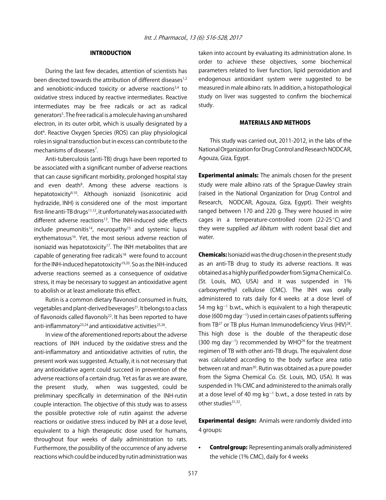#### INTRODUCTION

During the last few decades, attention of scientists has been directed towards the attribution of different diseases<sup>1,2</sup> and xenobiotic-induced toxicity or adverse reactions<sup>3,4</sup> to oxidative stress induced by reactive intermediates. Reactive intermediates may be free radicals or act as radical generators5 . The free radical is a molecule having an unshared electron, in its outer orbit, which is usually designated by a dot<sup>6</sup>. Reactive Oxygen Species (ROS) can play physiological roles in signal transduction but in excess can contribute to the mechanisms of diseases<sup>7</sup>.

Anti-tuberculosis (anti-TB) drugs have been reported to be associated with a significant number of adverse reactions that can cause significant morbidity, prolonged hospital stay and even death<sup>8</sup>. Among these adverse reactions is hepatotoxicity9,10. Although isoniazid (isonicotinic acid hydrazide, INH) is considered one of the most important first-line anti-TB drugs<sup>11,12</sup>, it unfortunately was associated with different adverse reactions<sup>13</sup>. The INH-induced side effects include pneumonitis<sup>14</sup>, neuropathy<sup>15</sup> and systemic lupus erythematosus<sup>16</sup>. Yet, the most serious adverse reaction of isoniazid was hepatotoxicity<sup>17</sup>. The INH metabolites that are capable of generating free radicals<sup>18</sup> were found to account for the INH-induced hepatotoxicity<sup>19,20</sup>. So as the INH-induced adverse reactions seemed as a consequence of oxidative stress, it may be necessary to suggest an antioxidative agent to abolish or at least ameliorate this effect.

Rutin is a common dietary flavonoid consumed in fruits, vegetables and plant-derived beverages<sup>21</sup>. It belongs to a class of flavonoids called flavonols<sup>22</sup>. It has been reported to have anti-inflammatory<sup>23,24</sup> and antioxidative activities<sup>25,26</sup>.

In view of the aforementioned reports about the adverse reactions of INH induced by the oxidative stress and the anti-inflammatory and antioxidative activities of rutin, the present work was suggested. Actually, it is not necessary that any antioxidative agent could succeed in prevention of the adverse reactions of a certain drug. Yet as far as we are aware, the present study, when was suggested, could be preliminary specifically in determination of the INH-rutin couple interaction. The objective of this study was to assess the possible protective role of rutin against the adverse reactions or oxidative stress induced by INH at a dose level, equivalent to a high therapeutic dose used for humans, throughout four weeks of daily administration to rats. Furthermore, the possibility of the occurrence of any adverse reactions which could be induced by rutin administration was

taken into account by evaluating its administration alone. In order to achieve these objectives, some biochemical parameters related to liver function, lipid peroxidation and endogenous antioxidant system were suggested to be measured in male albino rats. In addition, a histopathological study on liver was suggested to confirm the biochemical study.

#### MATERIALS AND METHODS

This study was carried out, 2011-2012, in the labs of the National Organization for Drug Control and Research NODCAR, Agouza, Giza, Egypt.

**Experimental animals:** The animals chosen for the present study were male albino rats of the Sprague-Dawley strain (raised in the National Organization for Drug Control and Research, NODCAR, Agouza, Giza, Egypt). Their weights ranged between 170 and 220 g. They were housed in wire cages in a temperature-controlled room (22-25 $\degree$ C) and they were supplied *ad libitum* with rodent basal diet and water.

Chemicals: Isoniazid was the drug chosen in the present study as an anti-TB drug to study its adverse reactions. It was obtained as a highly purified powder from Sigma Chemical Co. (St. Louis, MO, USA) and it was suspended in 1% carboxymethyl cellulose (CMC). The INH was orally administered to rats daily for 4 weeks at a dose level of 54 mg  $kg^{-1}$  b.wt., which is equivalent to a high therapeutic dose (600 mg day<sup>-1</sup>) used in certain cases of patients suffering from TB<sup>27</sup> or TB plus Human Immunodeficiency Virus (HIV)<sup>28</sup>. This high dose is the double of the therapeutic dose  $(300 \text{ mg day}^{-1})$  recommended by WHO<sup>29</sup> for the treatment regimen of TB with other anti-TB drugs. The equivalent dose was calculated according to the body surface area ratio between rat and man<sup>30</sup>. Rutin was obtained as a pure powder from the Sigma Chemical Co. (St. Louis, MO, USA). It was suspended in 1% CMC and administered to the animals orally at a dose level of 40 mg kg<sup>-1</sup> b.wt., a dose tested in rats by other studies<sup>31,32</sup>.

**Experimental design:** Animals were randomly divided into 4 groups:

Control group: Representing animals orally administered the vehicle (1% CMC), daily for 4 weeks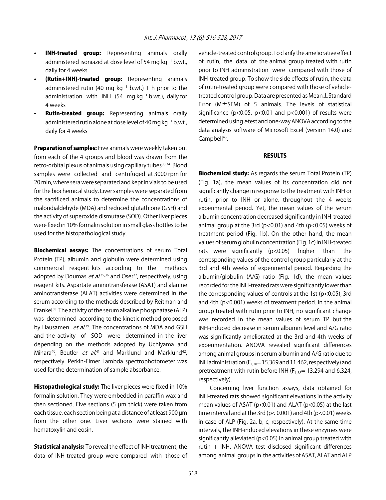- **INH-treated group:** Representing animals orally administered isoniazid at dose level of 54 mg  $\rm kg$ <sup>-1</sup> b.wt., daily for 4 weeks
- (Rutin+INH)-treated group: Representing animals administered rutin (40 mg  $kg^{-1}$  b.wt.) 1 h prior to the administration with INH (54 mg kg<sup>-1</sup> b.wt.), daily for 4 weeks
- **Rutin-treated group:** Representing animals orally administered rutin alone at dose level of 40 mg kg $^{-1}$  b.wt., daily for 4 weeks

Preparation of samples: Five animals were weekly taken out from each of the 4 groups and blood was drawn from the retro-orbital plexus of animals using capillary tubes<sup>33,34</sup>. Blood samples were collected and centrifuged at 3000 rpm for 20 min, where sera were separated and kept in vials to be used for the biochemical study. Liver samples were separated from the sacrificed animals to determine the concentrations of malondialdehyde (MDA) and reduced glutathione (GSH) and the activity of superoxide dismutase (SOD). Other liver pieces were fixed in 10% formalin solution in small glass bottles to be used for the histopathological study.

Biochemical assays: The concentrations of serum Total Protein (TP), albumin and globulin were determined using commercial reagent kits according to the methods adopted by Doumas *et al*.<sup>35,36</sup> and Oser<sup>37</sup>, respectively, using reagent kits. Aspartate aminotransferase (ASAT) and alanine aminotransferase (ALAT) activities were determined in the serum according to the methods described by Reitman and Frankel<sup>38</sup>. The activity of the serum alkaline phosphatase (ALP) was determined according to the kinetic method proposed by Hausamen et al.<sup>39</sup>. The concentrations of MDA and GSH and the activity of SOD were determined in the liver depending on the methods adopted by Uchiyama and Mihara<sup>40</sup>, Beutler *et al.*<sup>41</sup> and Marklund and Marklund<sup>42</sup>, respectively. Perkin-Elmer Lambda spectrophotometer was used for the determination of sample absorbance.

**Histopathological study:** The liver pieces were fixed in 10% formalin solution. They were embedded in paraffin wax and then sectioned. Five sections (5 µm thick) were taken from each tissue, each section being at a distance of at least 900 µm from the other one. Liver sections were stained with hematoxylin and eosin.

**Statistical analysis:** To reveal the effect of INH treatment, the data of INH-treated group were compared with those of vehicle-treated control group. To clarify the ameliorative effect of rutin, the data of the animal group treated with rutin prior to INH administration were compared with those of INH-treated group. To show the side effects of rutin, the data of rutin-treated group were compared with those of vehicletreated control group. Data are presented as Mean±Standard Error (M±SEM) of 5 animals. The levels of statistical significance ( $p$ <0.05,  $p$ <0.01 and  $p$ <0.001) of results were determined using *t*-test and one-way ANOVA according to the data analysis software of Microsoft Excel (version 14.0) and Campbell<sup>43</sup>.

#### RESULTS

**Biochemical study:** As regards the serum Total Protein (TP) (Fig. 1a), the mean values of its concentration did not significantly change in response to the treatment with INH or rutin, prior to INH or alone, throughout the 4 weeks experimental period. Yet, the mean values of the serum albumin concentration decreased significantly in INH-treated animal group at the 3rd ( $p$ <0.01) and 4th ( $p$ <0.05) weeks of treatment period (Fig. 1b). On the other hand, the mean values of serum globulin concentration (Fig. 1c) in INH-treated rats were significantly ( $p$ <0.05) higher than the corresponding values of the control group particularly at the 3rd and 4th weeks of experimental period. Regarding the albumin/globulin (A/G) ratio (Fig. 1d), the mean values recorded for the INH-treated rats were significantly lower than the corresponding values of controls at the 1st ( $p$ <0.05), 3rd and 4th (p<0.001) weeks of treatment period. In the animal group treated with rutin prior to INH, no significant change was recorded in the mean values of serum TP but the INH-induced decrease in serum albumin level and A/G ratio was significantly ameliorated at the 3rd and 4th weeks of experimentation. ANOVA revealed significant differences among animal groups in serum albumin and A/G ratio due to INH administration ( $F_{1,38}$ = 15.369 and 11.462, respectively) and pretreatment with rutin before INH ( $F_{1,38}$ = 13.294 and 6.324, respectively).

Concerning liver function assays, data obtained for INH-treated rats showed significant elevations in the activity mean values of ASAT (p<0.01) and ALAT (p<0.05) at the last time interval and at the 3rd (p< 0.001) and 4th (p<0.01) weeks in case of ALP (Fig. 2a, b, c, respectively). At the same time intervals, the INH-induced elevations in these enzymes were significantly alleviated (p<0.05) in animal group treated with rutin + INH. ANOVA test disclosed significant differences among animal groups in the activities of ASAT, ALAT and ALP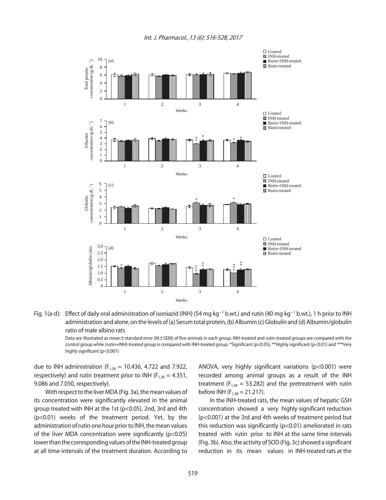

Fig. 1(a-d): Effect of daily oral administration of isoniazid (INH) (54 mg kg<sup>-1</sup> b.wt.) and rutin (40 mg kg<sup>-1</sup> b.wt.), 1 h prior to INH administration and alone, on the levels of (a) Serum total protein, (b) Albumin (c) Globulin and (d) Albumin/globulin ratio of male albino rats

Data are illustrated as mean±standard error (M±SEM) of five animals in each group. INH-treated and rutin-treated groups are compared with the control group while (rutin+INH)-treated group is compared with INH-treated group. \*Significant (p<0.05), \*\*Highly significant (p<0.01) and \*\*\*Very highly significant (p<0.001)

due to INH administration ( $F_{1,38}$  = 10.436, 4.722 and 7.922, respectively) and rutin treatment prior to INH ( $F_{1,38} = 4.351$ , 9.086 and 7.050, respectively).

With respect to the liver MDA (Fig. 3a), the mean values of its concentration were significantly elevated in the animal group treated with INH at the 1st (p<0.05), 2nd, 3rd and 4th (p<0.01) weeks of the treatment period. Yet, by the administration of rutin one hour prior to INH, the mean values of the liver MDA concentration were significantly (p<0.05) lower than the corresponding values of the INH-treated group at all time-intervals of the treatment duration. According to ANOVA, very highly significant variations (p<0.001) were recorded among animal groups as a result of the INH treatment ( $F_{1,38} = 53.282$ ) and the pretreatment with rutin before INH ( $F_{1,38} = 21.217$ ).

In the INH-treated rats, the mean values of hepatic GSH concentration showed a very highly significant reduction (p<0.001) at the 3rd and 4th weeks of treatment period but this reduction was significantly (p<0.01) ameliorated in rats treated with rutin prior to INH at the same time intervals (Fig. 3b). Also, the activity of SOD (Fig. 3c) showed a significant reduction in its mean values in INH-treated rats at the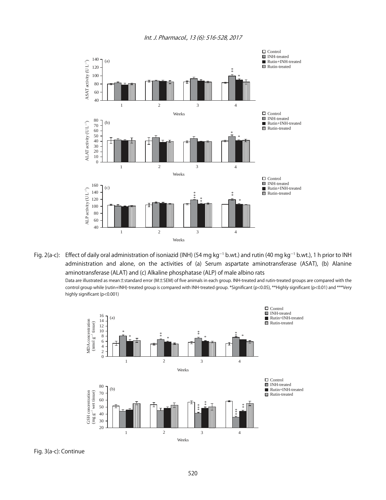

Fig. 2(a-c): Effect of daily oral administration of isoniazid (INH) (54 mg kg<sup>-1</sup> b.wt.) and rutin (40 mg kg<sup>-1</sup> b.wt.), 1 h prior to INH administration and alone, on the activities of (a) Serum aspartate aminotransferase (ASAT), (b) Alanine aminotransferase (ALAT) and (c) Alkaline phosphatase (ALP) of male albino rats

Data are illustrated as mean±standard error (M±SEM) of five animals in each group. INH-treated and rutin-treated groups are compared with the control group while (rutin+INH)-treated group is compared with INH-treated group. \*Significant (p<0.05), \*\*Highly significant (p<0.01) and \*\*\*Very highly significant (p<0.001)



Fig. 3(a-c): Continue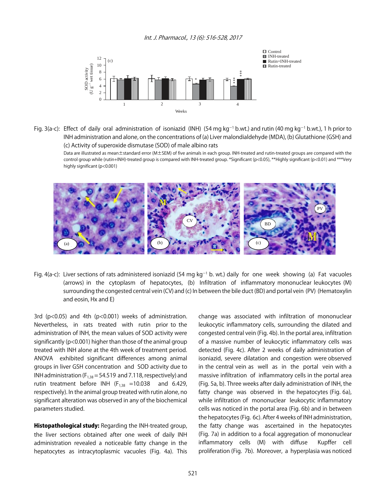

Fig. 3(a-c): Effect of daily oral administration of isoniazid (INH) (54 mg kg<sup>-1</sup> b.wt.) and rutin (40 mg kg<sup>-1</sup> b.wt.), 1 h prior to INH administration and alone, on the concentrations of (a) Liver malondialdehyde (MDA), (b) Glutathione (GSH) and (c) Activity of superoxide dismutase (SOD) of male albino rats

Data are illustrated as mean±standard error (M±SEM) of five animals in each group. INH-treated and rutin-treated groups are compared with the control group while (rutin+INH)-treated group is compared with INH-treated group. \*Significant (p<0.05), \*\*Highly significant (p<0.01) and \*\*\*Very highly significant (p<0.001)



Fig. 4(a-c): Liver sections of rats administered isoniazid (54 mg kg<sup>-1</sup> b. wt.) daily for one week showing (a) Fat vacuoles (arrows) in the cytoplasm of hepatocytes, (b) Infiltration of inflammatory mononuclear leukocytes (M) surrounding the congested central vein (CV) and (c) In between the bile duct (BD) and portal vein (PV) (Hematoxylin and eosin, Hx and E)

3rd (p<0.05) and 4th (p<0.001) weeks of administration. Nevertheless, in rats treated with rutin prior to the administration of INH, the mean values of SOD activity were significantly (p<0.001) higher than those of the animal group treated with INH alone at the 4th week of treatment period. ANOVA exhibited significant differences among animal groups in liver GSH concentration and SOD activity due to INH administration ( $F_{1,38}$  = 54.519 and 7.118, respectively) and rutin treatment before INH  $(F_{1,38} = 10.038$  and 6.429, respectively). In the animal group treated with rutin alone, no significant alteration was observed in any of the biochemical parameters studied.

Histopathological study: Regarding the INH-treated group, the liver sections obtained after one week of daily INH administration revealed a noticeable fatty change in the hepatocytes as intracytoplasmic vacuoles (Fig. 4a). This

change was associated with infiltration of mononuclear leukocytic inflammatory cells, surrounding the dilated and congested central vein (Fig. 4b). In the portal area, infiltration of a massive number of leukocytic inflammatory cells was detected (Fig. 4c). After 2 weeks of daily administration of isoniazid, severe dilatation and congestion were observed in the central vein as well as in the portal vein with a massive infiltration of inflammatory cells in the portal area (Fig. 5a, b). Three weeks after daily administration of INH, the fatty change was observed in the hepatocytes (Fig. 6a), while infiltration of mononuclear leukocytic inflammatory cells was noticed in the portal area (Fig. 6b) and in between the hepatocytes (Fig. 6c). After 4 weeks of INH administration, the fatty change was ascertained in the hepatocytes (Fig. 7a) in addition to a focal aggregation of mononuclear inflammatory cells (M) with diffuse Kupffer cell proliferation (Fig. 7b). Moreover, a hyperplasia was noticed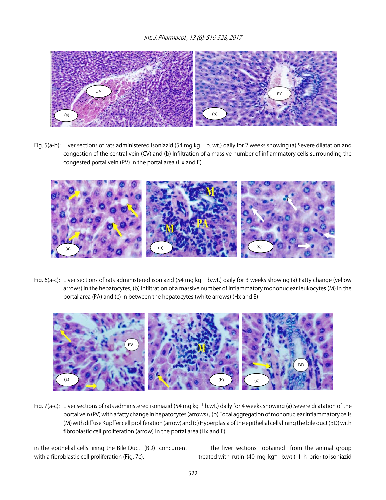

Fig. 5(a-b): Liver sections of rats administered isoniazid (54 mg kg<sup>-1</sup> b. wt.) daily for 2 weeks showing (a) Severe dilatation and congestion of the central vein (CV) and (b) Infiltration of a massive number of inflammatory cells surrounding the congested portal vein (PV) in the portal area (Hx and E)



Fig. 6(a-c): Liver sections of rats administered isoniazid (54 mg kg<sup>-1</sup> b.wt.) daily for 3 weeks showing (a) Fatty change (yellow arrows) in the hepatocytes, (b) Infiltration of a massive number of inflammatory mononuclear leukocytes (M) in the portal area (PA) and (c) In between the hepatocytes (white arrows) (Hx and E)



Fig. 7(a-c): Liver sections of rats administered isoniazid (54 mg kg<sup>-1</sup> b.wt.) daily for 4 weeks showing (a) Severe dilatation of the portal vein (PV) with a fatty change in hepatocytes (arrows) , (b) Focal aggregation of mononuclear inflammatory cells (M) with diffuse Kupffer cell proliferation (arrow) and (c) Hyperplasia of the epithelial cells lining the bile duct (BD) with fibroblastic cell proliferation (arrow) in the portal area (Hx and E)

in the epithelial cells lining the Bile Duct (BD) concurrent with a fibroblastic cell proliferation (Fig. 7c).

The liver sections obtained from the animal group treated with rutin (40 mg  $kg^{-1}$  b.wt.) 1 h prior to isoniazid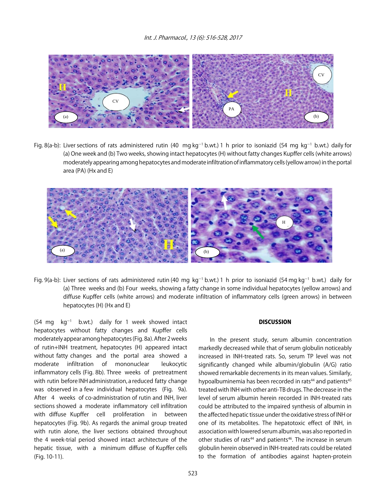

Fig. 8(a-b): Liver sections of rats administered rutin (40 mg kg<sup>-1</sup> b.wt.) 1 h prior to isoniazid (54 mg kg<sup>-1</sup> b.wt.) daily for (a) One week and (b) Two weeks, showing intact hepatocytes (H) without fatty changes Kupffer cells (white arrows) moderately appearing among hepatocytes and moderate infiltration of inflammatory cells (yellow arrow) in the portal area (PA) (Hx and E)



Fig. 9(a-b): Liver sections of rats administered rutin (40 mg kg<sup>-1</sup> b.wt.) 1 h prior to isoniazid (54 mg kg<sup>-1</sup> b.wt.) daily for (a) Three weeks and (b) Four weeks, showing a fatty change in some individual hepatocytes (yellow arrows) and diffuse Kupffer cells (white arrows) and moderate infiltration of inflammatory cells (green arrows) in between hepatocytes (H) (Hx and E)

 $(54 \text{ mg} \text{ kg}^{-1} \text{ b.wt.})$  daily for 1 week showed intact hepatocytes without fatty changes and Kupffer cells moderately appear among hepatocytes (Fig. 8a). After 2 weeks of rutin+INH treatment, hepatocytes (H) appeared intact without fatty changes and the portal area showed a moderate infiltration of mononuclear leukocytic inflammatory cells (Fig. 8b). Three weeks of pretreatment with rutin before INH administration, a reduced fatty change was observed in a few individual hepatocytes (Fig. 9a). After 4 weeks of co-administration of rutin and INH, liver sections showed a moderate inflammatory cell infiltration with diffuse Kupffer cell proliferation in between hepatocytes (Fig. 9b). As regards the animal group treated with rutin alone, the liver sections obtained throughout the 4 week-trial period showed intact architecture of the hepatic tissue, with a minimum diffuse of Kupffer cells (Fig. 10-11).

#### **DISCUSSION**

In the present study, serum albumin concentration markedly decreased while that of serum globulin noticeably increased in INH-treated rats. So, serum TP level was not significantly changed while albumin/globulin (A/G) ratio showed remarkable decrements in its mean values. Similarly, hypoalbuminemia has been recorded in rats<sup>44</sup> and patients<sup>45</sup> treated with INH with other anti-TB drugs. The decrease in the level of serum albumin herein recorded in INH-treated rats could be attributed to the impaired synthesis of albumin in the affected hepatic tissue under the oxidative stress of INH or one of its metabolites. The hepatotoxic effect of INH, in association with lowered serum albumin, was also reported in other studies of rats<sup>44</sup> and patients<sup>46</sup>. The increase in serum globulin herein observed in INH-treated rats could be related to the formation of antibodies against hapten-protein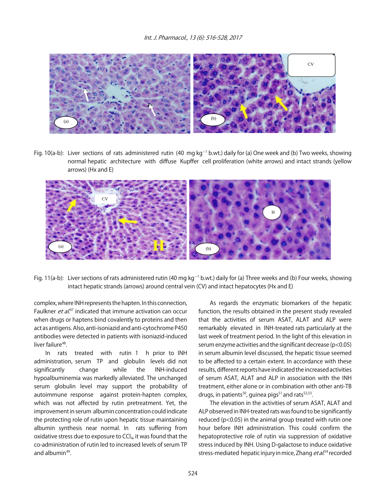

Fig. 10(a-b): Liver sections of rats administered rutin (40 mg kg<sup>-1</sup> b.wt.) daily for (a) One week and (b) Two weeks, showing normal hepatic architecture with diffuse Kupffer cell proliferation (white arrows) and intact strands (yellow arrows) (Hx and E)



Fig. 11(a-b): Liver sections of rats administered rutin (40 mg kg<sup>-1</sup> b.wt.) daily for (a) Three weeks and (b) Four weeks, showing intact hepatic strands (arrows) around central vein (CV) and intact hepatocytes (Hx and E)

complex, where INH represents the hapten. In this connection, Faulkner et al.<sup>47</sup> indicated that immune activation can occur when drugs or haptens bind covalently to proteins and then act as antigens. Also, anti-isoniazid and anti-cytochrome P450 antibodies were detected in patients with isoniazid-induced liver failure<sup>48</sup>.

In rats treated with rutin 1 h prior to INH administration, serum TP and globulin levels did not significantly change while the INH-induced hypoalbuminemia was markedly alleviated. The unchanged serum globulin level may support the probability of autoimmune response against protein-hapten complex, which was not affected by rutin pretreatment. Yet, the improvement in serum albumin concentration could indicate the protecting role of rutin upon hepatic tissue maintaining albumin synthesis near normal. In rats suffering from oxidative stress due to exposure to  $CCl<sub>4</sub>$ , it was found that the co-administration of rutin led to increased levels of serum TP and albumin $49$ .

As regards the enzymatic biomarkers of the hepatic function, the results obtained in the present study revealed that the activities of serum ASAT, ALAT and ALP were remarkably elevated in INH-treated rats particularly at the last week of treatment period. In the light of this elevation in serum enzyme activities and the significant decrease (p<0.05) in serum albumin level discussed, the hepatic tissue seemed to be affected to a certain extent. In accordance with these results, different reports have indicated the increased activities of serum ASAT, ALAT and ALP in association with the INH treatment, either alone or in combination with other anti-TB drugs, in patients<sup>50</sup>, guinea pigs<sup>51</sup> and rats<sup>52,53</sup>.

The elevation in the activities of serum ASAT, ALAT and ALP observed in INH-treated rats was found to be significantly reduced (p<0.05) in the animal group treated with rutin one hour before INH administration. This could confirm the hepatoprotective role of rutin via suppression of oxidative stress induced by INH. Using D-galactose to induce oxidative stress-mediated hepatic injury in mice, Zhang *et al*.<sup>54</sup> recorded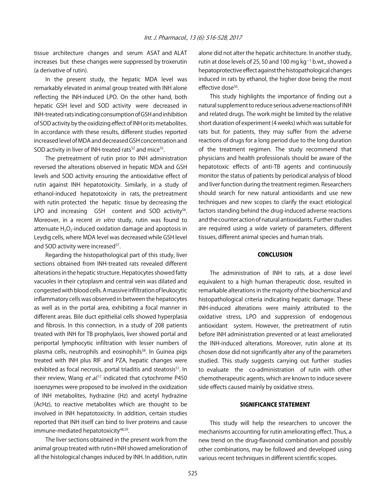tissue architecture changes and serum ASAT and ALAT increases but these changes were suppressed by troxerutin (a derivative of rutin).

In the present study, the hepatic MDA level was remarkably elevated in animal group treated with INH alone reflecting the INH-induced LPO. On the other hand, both hepatic GSH level and SOD activity were decreased in INH-treated rats indicating consumption of GSH and inhibition of SOD activity by the oxidizing effect of INH or its metabolites. In accordance with these results, different studies reported increased level of MDA and decreased GSH concentration and SOD activity in liver of INH-treated rats<sup>52</sup> and mice<sup>55</sup>.

The pretreatment of rutin prior to INH administration reversed the alterations observed in hepatic MDA and GSH levels and SOD activity ensuring the antioxidative effect of rutin against INH hepatotoxicity. Similarly, in a study of ethanol-induced hepatotoxicity in rats, the pretreatment with rutin protected the hepatic tissue by decreasing the LPO and increasing GSH content and SOD activity<sup>56</sup>. Moreover, in a recent in vitro study, rutin was found to attenuate  $H_2O_2$ -induced oxidation damage and apoptosis in Leydig cells, where MDA level was decreased while GSH level and SOD activity were increased<sup>57</sup>.

Regarding the histopathological part of this study, liver sections obtained from INH-treated rats revealed different alterations in the hepatic structure. Hepatocytes showed fatty vacuoles in their cytoplasm and central vein was dilated and congested with blood cells. A massive infiltration of leukocytic inflammatory cells was observed in between the hepatocytes as well as in the portal area, exhibiting a focal manner in different areas. Bile duct epithelial cells showed hyperplasia and fibrosis. In this connection, in a study of 208 patients treated with INH for TB prophylaxis, liver showed portal and periportal lymphocytic infiltration with lesser numbers of plasma cells, neutrophils and eosinophils<sup>58</sup>. In Guinea pigs treated with INH plus RIF and PZA, hepatic changes were exhibited as focal necrosis, portal triaditis and steatosis<sup>51</sup>. In their review, Wang *et al*.<sup>17</sup> indicated that cytochrome P450 isoenzymes were proposed to be involved in the oxidization of INH metabolites, hydrazine (Hz) and acetyl hydrazine (AcHz), to reactive metabolites which are thought to be involved in INH hepatotoxicity. In addition, certain studies reported that INH itself can bind to liver proteins and cause immune-mediated hepatotoxicity<sup>48,59</sup>.

The liver sections obtained in the present work from the animal group treated with rutin+INH showed amelioration of all the histological changes induced by INH. In addition, rutin

alone did not alter the hepatic architecture. In another study, rutin at dose levels of 25, 50 and 100 mg  $kg^{-1}$  b.wt., showed a hepatoprotective effect against the histopathological changes induced in rats by ethanol, the higher dose being the most effective dose<sup>56</sup>.

This study highlights the importance of finding out a natural supplement to reduce serious adverse reactions of INH and related drugs. The work might be limited by the relative short duration of experiment (4 weeks) which was suitable for rats but for patients, they may suffer from the adverse reactions of drugs for a long period due to the long duration of the treatment regimen. The study recommend that physicians and health professionals should be aware of the hepatotoxic effects of anti-TB agents and continuously monitor the status of patients by periodical analysis of blood and liver function during the treatment regimen. Researchers should search for new natural antioxidants and use new techniques and new scopes to clarify the exact etiological factors standing behind the drug-induced adverse reactions and the counter action of natural antioxidants. Further studies are required using a wide variety of parameters, different tissues, different animal species and human trials.

#### **CONCLUSION**

The administration of INH to rats, at a dose level equivalent to a high human therapeutic dose, resulted in remarkable alterations in the majority of the biochemical and histopathological criteria indicating hepatic damage. These INH-induced alterations were mainly attributed to the oxidative stress, LPO and suppression of endogenous antioxidant system. However, the pretreatment of rutin before INH administration prevented or at least ameliorated the INH-induced alterations. Moreover, rutin alone at its chosen dose did not significantly alter any of the parameters studied. This study suggests carrying out further studies to evaluate the co-administration of rutin with other chemotherapeutic agents, which are known to induce severe side effects caused mainly by oxidative stress.

#### SIGNIFICANCE STATEMENT

This study will help the researchers to uncover the mechanisms accounting for rutin ameliorating effect. Thus, a new trend on the drug-flavonoid combination and possibly other combinations, may be followed and developed using various recent techniques in different scientific scopes.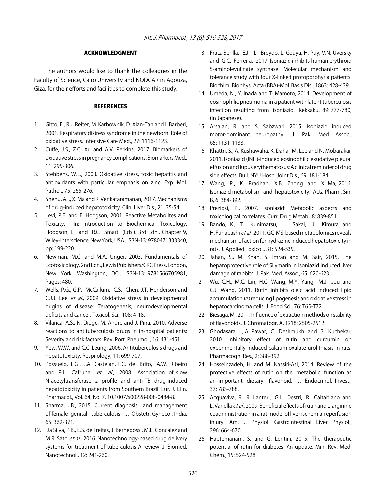#### ACKNOWLEDGMENT

The authors would like to thank the colleagues in the Faculty of Science, Cairo University and NODCAR in Agouza, Giza, for their efforts and facilities to complete this study.

#### **REFERENCES**

- 1. Gitto, E., R.J. Reiter, M. Karbownik, D. Xian-Tan and I. Barberi, 2001. Respiratory distress syndrome in the newborn: Role of oxidative stress. Intensive Care Med., 27: 1116-1123.
- 2. Cuffe, J.S., Z.C. Xu and A.V. Perkins, 2017. Biomarkers of oxidative stress in pregnancy complications. Biomarkers Med., 11: 295-306.
- 3. Stehbens, W.E., 2003. Oxidative stress, toxic hepatitis and antioxidants with particular emphasis on zinc. Exp. Mol. Pathol., 75: 265-276.
- 4. Shehu, A.I., X. Ma and R. Venkataramanan, 2017. Mechanisms of drug-induced hepatotoxicity. Clin. Liver Dis., 21: 35-54.
- 5. Levi, P.E. and E. Hodgson, 2001. Reactive Metabolites and Toxicity. In: Introduction to Biochemical Toxicology, Hodgson, E. and R.C. Smart (Eds.). 3rd Edn., Chapter 9, Wiley-Interscience, New York, USA., ISBN-13: 9780471333340, pp: 199-220.
- 6. Newman, M.C. and M.A. Unger, 2003. Fundamentals of Ecotoxicology. 2nd Edn., Lewis Publishers/CRC Press, London, New York, Washington, DC., ISBN-13: 9781566705981, Pages: 480.
- 7. Wells, P.G., G.P. McCallum, C.S. Chen, J.T. Henderson and C.J.J. Lee et al., 2009. Oxidative stress in developmental origins of disease: Teratogenesis, neurodevelopmental deficits and cancer. Toxicol. Sci., 108: 4-18.
- 8. Vilarica, A.S., N. Diogo, M. Andre and J. Pina, 2010. Adverse reactions to antituberculosis drugs in in-hospital patients: Severity and risk factors. Rev. Port. Pneumol., 16: 431-451.
- 9. Yew, W.W. and C.C. Leung, 2006. Antituberculosis drugs and hepatotoxicity. Respirology, 11: 699-707.
- 10. Possuelo, L.G., J.A. Castelan, T.C. de Brito, A.W. Ribeiro and P.I. Cafrune et al., 2008. Association of slow N-acetyltransferase 2 profile and anti-TB drug-induced hepatotoxicity in patients from Southern Brazil. Eur. J. Clin. Pharmacol., Vol. 64, No. 7. 10.1007/s00228-008-0484-8.
- 11. Sharma, J.B., 2015. Current diagnosis and management of female genital tuberculosis. J. Obstetr. Gynecol. India, 65: 362-371.
- 12. Da Silva, P.B., E.S. de Freitas, J. Bernegossi, M.L. Goncalez and M.R. Sato et al., 2016. Nanotechnology-based drug delivery systems for treatment of tuberculosis-A review. J. Biomed. Nanotechnol., 12: 241-260.
- 13. Fratz-Berilla, E.J., L. Breydo, L. Gouya, H. Puy, V.N. Uversky and G.C. Ferreira, 2017. Isoniazid inhibits human erythroid 5-aminolevulinate synthase: Molecular mechanism and tolerance study with four X-linked protoporphyria patients. Biochim. Biophys. Acta (BBA)-Mol. Basis Dis., 1863: 428-439.
- 14. Umeda, N., Y. Inada and T. Mamoto, 2014. Development of eosinophilic pneumonia in a patient with latent tuberculosis infection resulting from isoniazid. Kekkaku, 89: 777-780, (In Japanese).
- 15. Arsalan, R. and S. Sabzwari, 2015. Isoniazid induced motor-dominant neuropathy. J. Pak. Med. Assoc., 65: 1131-1133.
- 16. Khattri, S., A. Kushawaha, K. Dahal, M. Lee and N. Mobarakai, 2011. Isoniazid (INH)-induced eosinophilic exudative pleural effusion and lupus erythematosus: A clinical reminder of drug side effects. Bull. NYU Hosp. Joint Dis., 69: 181-184.
- 17. Wang, P., K. Pradhan, X.B. Zhong and X. Ma, 2016. Isoniazid metabolism and hepatotoxicity. Acta Pharm. Sin. B, 6: 384-392.
- 18. Preziosi, P., 2007. Isoniazid: Metabolic aspects and toxicological correlates. Curr. Drug Metab., 8: 839-851.
- 19. Bando, K., T. Kunimatsu, J. Sakai, J. Kimura and H. Funabashi et al., 2011. GC-MS-based metabolomics reveals mechanism of action for hydrazine induced hepatotoxicity in rats. J. Applied Toxicol., 31: 524-535.
- 20. Jahan, S., M. Khan, S. Imran and M. Sair, 2015. The hepatoprotective role of Silymarin in isoniazid induced liver damage of rabbits. J. Pak. Med. Assoc., 65: 620-623.
- 21. Wu, C.H., M.C. Lin, H.C. Wang, M.Y. Yang, M.J. Jou and C.J. Wang, 2011. Rutin inhibits oleic acid induced lipid accumulation *via* reducing lipogenesis and oxidative stress in hepatocarcinoma cells. J. Food Sci., 76: T65-T72.
- 22. Biesaga, M., 2011. Influence of extraction methods on stability of flavonoids. J. Chromatogr. A, 1218: 2505-2512.
- 23. Ghodasara, J., A. Pawar, C. Deshmukh and B. Kuchekar, 2010. Inhibitory effect of rutin and curcumin on experimentally-induced calcium oxalate urolithiasis in rats. Pharmacogn. Res., 2: 388-392.
- 24. Hosseinzadeh, H. and M. Nassiri-Asl, 2014. Review of the protective effects of rutin on the metabolic function as an important dietary flavonoid. J. Endocrinol. Invest., 37: 783-788.
- 25. Acquaviva, R., R. Lanteri, G.L. Destri, R. Caltabiano and L. Vanella et al., 2009. Beneficial effects of rutin and L-arginine coadministration in a rat model of liver ischemia-reperfusion injury. Am. J. Physiol. Gastrointestinal Liver Physiol., 296: 664-670.
- 26. Habtemariam, S. and G. Lentini, 2015. The therapeutic potential of rutin for diabetes: An update. Mini Rev. Med. Chem., 15: 524-528.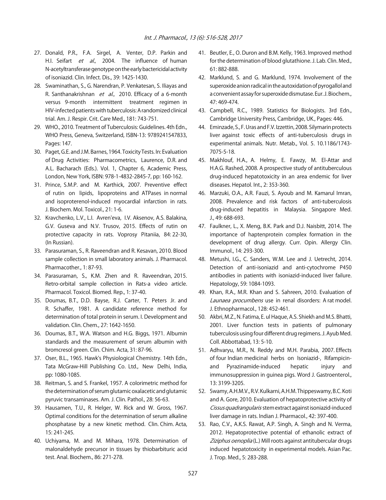- 27. Donald, P.R., F.A. Sirgel, A. Venter, D.P. Parkin and H.I. Seifart et al., 2004. The influence of human N-acetyltransferase genotype on the early bactericidal activity of isoniazid. Clin. Infect. Dis., 39: 1425-1430.
- 28. Swaminathan, S., G. Narendran, P. Venkatesan, S. Iliayas and R. Santhanakrishnan et al., 2010. Efficacy of a 6-month versus 9-month intermittent treatment regimen in HIV-infected patients with tuberculosis: A randomized clinical trial. Am. J. Respir. Crit. Care Med., 181: 743-751.
- 29. WHO., 2010. Treatment of Tuberculosis: Guidelines. 4th Edn., WHO Press, Geneva, Switzerland, ISBN-13: 9789241547833, Pages: 147.
- 30. Paget, G.E. and J.M. Barnes, 1964. Toxicity Tests. In: Evaluation of Drug Activities: Pharmacometrics, Laurence, D.R. and A.L. Bacharach (Eds.). Vol. 1, Chapter 6, Academic Press, London, New York, ISBN: 978-1-4832-2845-7, pp: 160-162.
- 31. Prince, S.M.P. and M. Karthick, 2007. Preventive effect of rutin on lipids, lipoproteins and ATPases in normal and isoproterenol-induced myocardial infarction in rats. J. Biochem. Mol. Toxicol., 21: 1-6.
- 32. Kravchenko, L.V., L.I. Avren'eva, I.V. Aksenov, A.S. Balakina, G.V. Guseva and N.V. Trusov, 2015. Effects of rutin on protective capacity in rats. Voprosy Pitaniia, 84: 22-30, (In Russian).
- 33. Parasuraman, S., R. Raveendran and R. Kesavan, 2010. Blood sample collection in small laboratory animals. J. Pharmacol. Pharmacother., 1: 87-93.
- 34. Parasuraman, S., K.M. Zhen and R. Raveendran, 2015. Retro-orbital sample collection in Rats-a video article. Pharmacol. Toxicol. Biomed. Rep., 1: 37-40.
- 35. Doumas, B.T., D.D. Bayse, R.J. Carter, T. Peters Jr. and R. Schaffer, 1981. A candidate reference method for determination of total protein in serum. I. Development and validation. Clin. Chem., 27: 1642-1650.
- 36. Doumas, B.T., W.A. Watson and H.G. Biggs, 1971. Albumin standards and the measurement of serum albumin with bromcresol green. Clin. Chim. Acta, 31: 87-96.
- 37. Oser, B.L., 1965. Hawk's Physiological Chemistry. 14th Edn., Tata McGraw-Hill Publishing Co. Ltd., New Delhi, India, pp: 1080-1085.
- 38. Reitman, S. and S. Frankel, 1957. A colorimetric method for the determination of serum glutamic oxalacetic and glutamic pyruvic transaminases. Am. J. Clin. Pathol., 28: 56-63.
- 39. Hausamen, T.U., R. Helger, W. Rick and W. Gross, 1967. Optimal conditions for the determination of serum alkaline phosphatase by a new kinetic method. Clin. Chim. Acta, 15: 241-245.
- 40. Uchiyama, M. and M. Mihara, 1978. Determination of malonaldehyde precursor in tissues by thiobarbituric acid test. Anal. Biochem., 86: 271-278.
- 41. Beutler, E., O. Duron and B.M. Kelly, 1963. Improved method for the determination of blood glutathione. J. Lab. Clin. Med., 61: 882-888.
- 42. Marklund, S. and G. Marklund, 1974. Involvement of the superoxide anion radical in the autoxidation of pyrogallol and a convenient assay for superoxide dismutase. Eur. J. Biochem., 47: 469-474.
- 43. Campbell, R.C., 1989. Statistics for Biologists. 3rd Edn., Cambridge University Press, Cambridge, UK., Pages: 446.
- 44. Eminzade, S., F. Uras and F.V. Izzettin, 2008. Silymarin protects liver against toxic effects of anti-tuberculosis drugs in experimental animals. Nutr. Metab., Vol. 5. 10.1186/1743- 7075-5-18.
- 45. Makhlouf, H.A., A. Helmy, E. Fawzy, M. El-Attar and H.A.G. Rashed, 2008. A prospective study of antituberculous drug-induced hepatotoxicity in an area endemic for liver diseases. Hepatol. Int., 2: 353-360.
- 46. Marzuki, O.A., A.R. Fauzi, S. Ayoub and M. Kamarul Imran, 2008. Prevalence and risk factors of anti-tuberculosis drug-induced hepatitis in Malaysia. Singapore Med. J., 49: 688-693.
- 47. Faulkner, L., X. Meng, B.K. Park and D.J. Naisbitt, 2014. The importance of haptenprotein complex formation in the development of drug allergy. Curr. Opin. Allergy Clin. Immunol., 14: 293-300.
- 48. Metushi, I.G., C. Sanders, W.M. Lee and J. Uetrecht, 2014. Detection of anti-isoniazid and anti-cytochrome P450 antibodies in patients with isoniazid-induced liver failure. Hepatology, 59: 1084-1093.
- 49. Khan, R.A., M.R. Khan and S. Sahreen, 2010. Evaluation of Launaea procumbens use in renal disorders: A rat model. J. Ethnopharmacol., 128: 452-461.
- 50. Akbri, M.Z., N. Fatima, E. ul Haque, A.S. Shiekh and M.S. Bhatti, 2001. Liver function tests in patients of pulmonary tuberculosis using four different drug regimens. J. Ayub Med. Coll. Abbottabad, 13: 5-10.
- 51. Adhvaryu, M.R., N. Reddy and M.H. Parabia, 2007. Effects of four Indian medicinal herbs on Isoniazid-, Rifampicinand Pyrazinamide-induced hepatic injury and immunosuppression in guinea pigs. Word J. Gastroenterol., 13: 3199-3205.
- 52. Swamy, A.H.M.V., R.V. Kulkarni, A.H.M. Thippeswamy, B.C. Koti and A. Gore, 2010. Evaluation of hepatoprotective activity of Cissus quadrangularis stem extract against isoniazid-induced liver damage in rats. Indian J. Pharmacol., 42: 397-400.
- 53. Rao, C.V., A.K.S. Rawat, A.P. Singh, A. Singh and N. Verma, 2012. Hepatoprotective potential of ethanolic extract of Ziziphus oenoplia (L.) Mill roots against antitubercular drugs induced hepatotoxicity in experimental models. Asian Pac. J. Trop. Med., 5: 283-288.